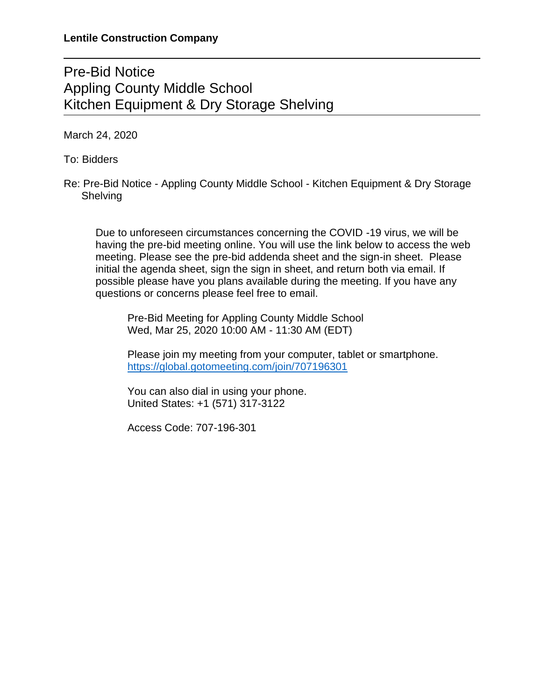## Pre-Bid Notice Appling County Middle School Kitchen Equipment & Dry Storage Shelving

March 24, 2020

To: Bidders

Re: Pre-Bid Notice - Appling County Middle School - Kitchen Equipment & Dry Storage **Shelving** 

Due to unforeseen circumstances concerning the COVID -19 virus, we will be having the pre-bid meeting online. You will use the link below to access the web meeting. Please see the pre-bid addenda sheet and the sign-in sheet. Please initial the agenda sheet, sign the sign in sheet, and return both via email. If possible please have you plans available during the meeting. If you have any questions or concerns please feel free to email.

Pre-Bid Meeting for Appling County Middle School Wed, Mar 25, 2020 10:00 AM - 11:30 AM (EDT)

Please join my meeting from your computer, tablet or smartphone. <https://global.gotomeeting.com/join/707196301>

You can also dial in using your phone. United States: +1 (571) 317-3122

Access Code: 707-196-301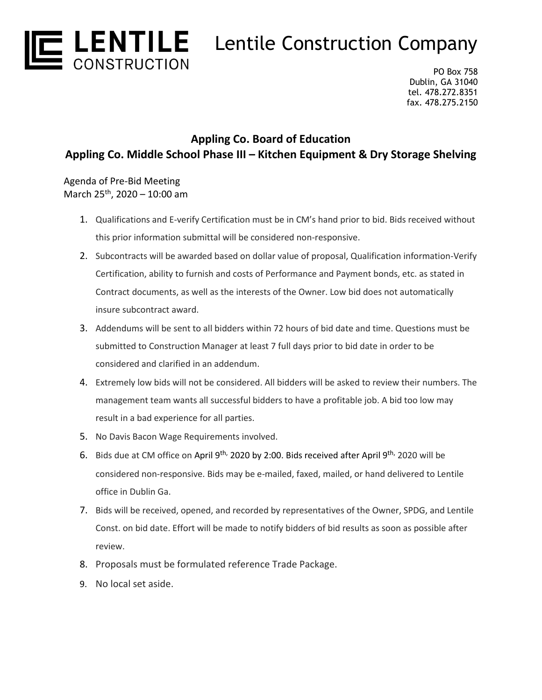

PO Box 758 Dublin, GA 31040 tel. 478.272.8351 fax. 478.275.2150

## **Appling Co. Board of Education Appling Co. Middle School Phase III – Kitchen Equipment & Dry Storage Shelving**

Agenda of Pre-Bid Meeting March 25th, 2020 – 10:00 am

- 1. Qualifications and E-verify Certification must be in CM's hand prior to bid. Bids received without this prior information submittal will be considered non-responsive.
- 2. Subcontracts will be awarded based on dollar value of proposal, Qualification information-Verify Certification, ability to furnish and costs of Performance and Payment bonds, etc. as stated in Contract documents, as well as the interests of the Owner. Low bid does not automatically insure subcontract award.
- 3. Addendums will be sent to all bidders within 72 hours of bid date and time. Questions must be submitted to Construction Manager at least 7 full days prior to bid date in order to be considered and clarified in an addendum.
- 4. Extremely low bids will not be considered. All bidders will be asked to review their numbers. The management team wants all successful bidders to have a profitable job. A bid too low may result in a bad experience for all parties.
- 5. No Davis Bacon Wage Requirements involved.
- 6. Bids due at CM office on April 9<sup>th,</sup> 2020 by 2:00. Bids received after April 9<sup>th,</sup> 2020 will be considered non-responsive. Bids may be e-mailed, faxed, mailed, or hand delivered to Lentile office in Dublin Ga.
- 7. Bids will be received, opened, and recorded by representatives of the Owner, SPDG, and Lentile Const. on bid date. Effort will be made to notify bidders of bid results as soon as possible after review.
- 8. Proposals must be formulated reference Trade Package.
- 9. No local set aside.